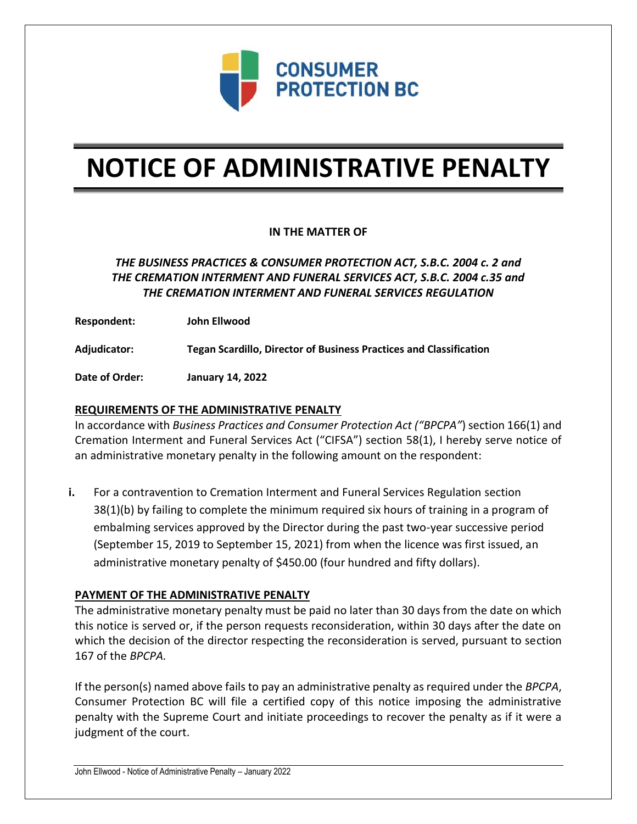

# **NOTICE OF ADMINISTRATIVE PENALTY**

## **IN THE MATTER OF**

# *THE BUSINESS PRACTICES & CONSUMER PROTECTION ACT, S.B.C. 2004 c. 2 and THE CREMATION INTERMENT AND FUNERAL SERVICES ACT, S.B.C. 2004 c.35 and THE CREMATION INTERMENT AND FUNERAL SERVICES REGULATION*

**Respondent: John Ellwood**

**Adjudicator: Tegan Scardillo, Director of Business Practices and Classification**

**Date of Order: January 14, 2022**

### **REQUIREMENTS OF THE ADMINISTRATIVE PENALTY**

In accordance with *Business Practices and Consumer Protection Act ("BPCPA"*) section 166(1) and Cremation Interment and Funeral Services Act ("CIFSA") section 58(1), I hereby serve notice of an administrative monetary penalty in the following amount on the respondent:

**i.** For a contravention to Cremation Interment and Funeral Services Regulation section 38(1)(b) by failing to complete the minimum required six hours of training in a program of embalming services approved by the Director during the past two-year successive period (September 15, 2019 to September 15, 2021) from when the licence was first issued, an administrative monetary penalty of \$450.00 (four hundred and fifty dollars).

#### **PAYMENT OF THE ADMINISTRATIVE PENALTY**

The administrative monetary penalty must be paid no later than 30 days from the date on which this notice is served or, if the person requests reconsideration, within 30 days after the date on which the decision of the director respecting the reconsideration is served, pursuant to section 167 of the *BPCPA.* 

If the person(s) named above fails to pay an administrative penalty as required under the *BPCPA*, Consumer Protection BC will file a certified copy of this notice imposing the administrative penalty with the Supreme Court and initiate proceedings to recover the penalty as if it were a judgment of the court.